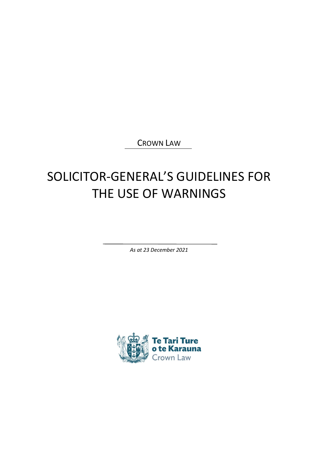CROWN LAW

# SOLICITOR-GENERAL'S GUIDELINES FOR THE USE OF WARNINGS

*As at 23 December 2021*

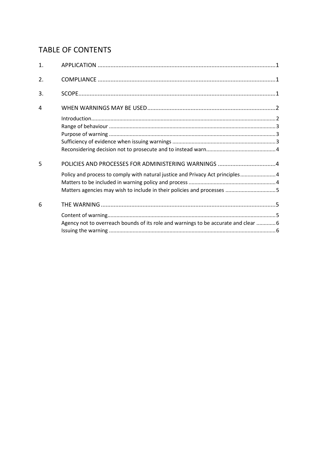# **TABLE OF CONTENTS**

| 1. |                                                                                                                                                          |
|----|----------------------------------------------------------------------------------------------------------------------------------------------------------|
| 2. |                                                                                                                                                          |
| 3. |                                                                                                                                                          |
| 4  |                                                                                                                                                          |
|    |                                                                                                                                                          |
|    |                                                                                                                                                          |
| 5  |                                                                                                                                                          |
|    | Policy and process to comply with natural justice and Privacy Act principles 4<br>Matters agencies may wish to include in their policies and processes 5 |
| 6  |                                                                                                                                                          |
|    | Agency not to overreach bounds of its role and warnings to be accurate and clear  6                                                                      |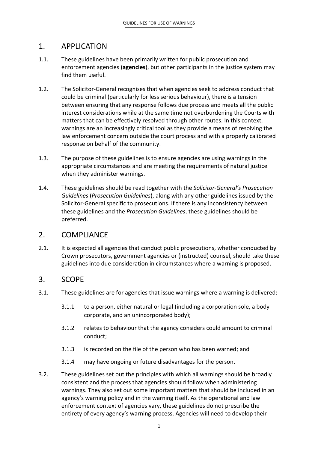# <span id="page-2-0"></span>1. APPLICATION

- 1.1. These guidelines have been primarily written for public prosecution and enforcement agencies (**agencies**), but other participants in the justice system may find them useful.
- 1.2. The Solicitor-General recognises that when agencies seek to address conduct that could be criminal (particularly for less serious behaviour), there is a tension between ensuring that any response follows due process and meets all the public interest considerations while at the same time not overburdening the Courts with matters that can be effectively resolved through other routes. In this context, warnings are an increasingly critical tool as they provide a means of resolving the law enforcement concern outside the court process and with a properly calibrated response on behalf of the community.
- 1.3. The purpose of these guidelines is to ensure agencies are using warnings in the appropriate circumstances and are meeting the requirements of natural justice when they administer warnings.
- 1.4. These guidelines should be read together with the *Solicitor-General's Prosecution Guidelines* (*Prosecution Guidelines*), along with any other guidelines issued by the Solicitor-General specific to prosecutions. If there is any inconsistency between these guidelines and the *Prosecution Guidelines*, these guidelines should be preferred.

## <span id="page-2-1"></span>2. COMPLIANCE

2.1. It is expected all agencies that conduct public prosecutions, whether conducted by Crown prosecutors, government agencies or (instructed) counsel, should take these guidelines into due consideration in circumstances where a warning is proposed.

## <span id="page-2-2"></span>3. SCOPE

- 3.1. These guidelines are for agencies that issue warnings where a warning is delivered:
	- 3.1.1 to a person, either natural or legal (including a corporation sole, a body corporate, and an unincorporated body);
	- 3.1.2 relates to behaviour that the agency considers could amount to criminal conduct;
	- 3.1.3 is recorded on the file of the person who has been warned; and
	- 3.1.4 may have ongoing or future disadvantages for the person.
- 3.2. These guidelines set out the principles with which all warnings should be broadly consistent and the process that agencies should follow when administering warnings. They also set out some important matters that should be included in an agency's warning policy and in the warning itself. As the operational and law enforcement context of agencies vary, these guidelines do not prescribe the entirety of every agency's warning process. Agencies will need to develop their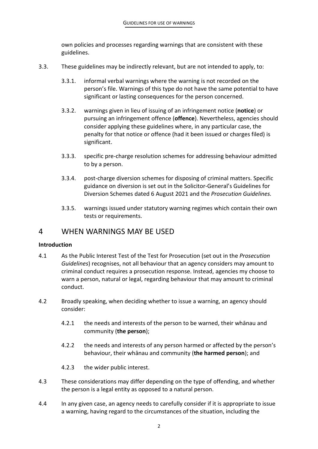own policies and processes regarding warnings that are consistent with these guidelines.

- 3.3. These guidelines may be indirectly relevant, but are not intended to apply, to:
	- 3.3.1. informal verbal warnings where the warning is not recorded on the person's file. Warnings of this type do not have the same potential to have significant or lasting consequences for the person concerned.
	- 3.3.2. warnings given in lieu of issuing of an infringement notice (**notice**) or pursuing an infringement offence (**offence**). Nevertheless, agencies should consider applying these guidelines where, in any particular case, the penalty for that notice or offence (had it been issued or charges filed) is significant.
	- 3.3.3. specific pre-charge resolution schemes for addressing behaviour admitted to by a person.
	- 3.3.4. post-charge diversion schemes for disposing of criminal matters. Specific guidance on diversion is set out in the Solicitor-General's Guidelines for Diversion Schemes dated 6 August 2021 and the *Prosecution Guidelines.*
	- 3.3.5. warnings issued under statutory warning regimes which contain their own tests or requirements.

# <span id="page-3-0"></span>4 WHEN WARNINGS MAY BE USED

#### <span id="page-3-1"></span>**Introduction**

- 4.1 As the Public Interest Test of the Test for Prosecution (set out in the *Prosecution Guidelines*) recognises, not all behaviour that an agency considers may amount to criminal conduct requires a prosecution response. Instead, agencies my choose to warn a person, natural or legal, regarding behaviour that may amount to criminal conduct.
- 4.2 Broadly speaking, when deciding whether to issue a warning, an agency should consider:
	- 4.2.1 the needs and interests of the person to be warned, their whānau and community (**the person**);
	- 4.2.2 the needs and interests of any person harmed or affected by the person's behaviour, their whānau and community (**the harmed person**); and
	- 4.2.3 the wider public interest.
- 4.3 These considerations may differ depending on the type of offending, and whether the person is a legal entity as opposed to a natural person.
- 4.4 In any given case, an agency needs to carefully consider if it is appropriate to issue a warning, having regard to the circumstances of the situation, including the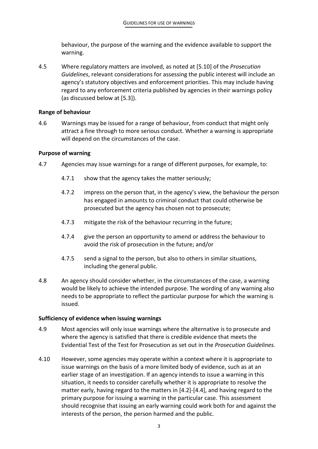behaviour, the purpose of the warning and the evidence available to support the warning.

4.5 Where regulatory matters are involved, as noted at [5.10] of the *Prosecution Guidelines*, relevant considerations for assessing the public interest will include an agency's statutory objectives and enforcement priorities. This may include having regard to any enforcement criteria published by agencies in their warnings policy (as discussed below at [5.3]).

#### <span id="page-4-0"></span>**Range of behaviour**

4.6 Warnings may be issued for a range of behaviour, from conduct that might only attract a fine through to more serious conduct. Whether a warning is appropriate will depend on the circumstances of the case.

## <span id="page-4-1"></span>**Purpose of warning**

- 4.7 Agencies may issue warnings for a range of different purposes, for example, to:
	- 4.7.1 show that the agency takes the matter seriously;
	- 4.7.2 impress on the person that, in the agency's view, the behaviour the person has engaged in amounts to criminal conduct that could otherwise be prosecuted but the agency has chosen not to prosecute;
	- 4.7.3 mitigate the risk of the behaviour recurring in the future;
	- 4.7.4 give the person an opportunity to amend or address the behaviour to avoid the risk of prosecution in the future; and/or
	- 4.7.5 send a signal to the person, but also to others in similar situations, including the general public.
- 4.8 An agency should consider whether, in the circumstances of the case, a warning would be likely to achieve the intended purpose. The wording of any warning also needs to be appropriate to reflect the particular purpose for which the warning is issued.

## <span id="page-4-2"></span>**Sufficiency of evidence when issuing warnings**

- 4.9 Most agencies will only issue warnings where the alternative is to prosecute and where the agency is satisfied that there is credible evidence that meets the Evidential Test of the Test for Prosecution as set out in the *Prosecution Guidelines.*
- 4.10 However, some agencies may operate within a context where it is appropriate to issue warnings on the basis of a more limited body of evidence, such as at an earlier stage of an investigation. If an agency intends to issue a warning in this situation, it needs to consider carefully whether it is appropriate to resolve the matter early, having regard to the matters in [4.2]-[4.4], and having regard to the primary purpose for issuing a warning in the particular case. This assessment should recognise that issuing an early warning could work both for and against the interests of the person, the person harmed and the public.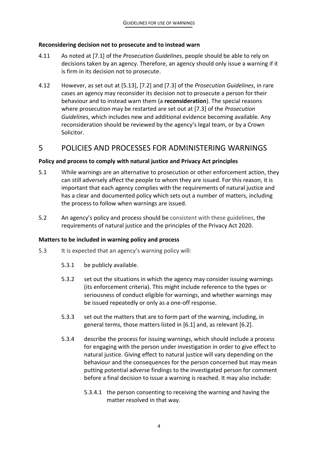#### <span id="page-5-0"></span>**Reconsidering decision not to prosecute and to instead warn**

- 4.11 As noted at [7.1] of the *Prosecution Guidelines*, people should be able to rely on decisions taken by an agency. Therefore, an agency should only issue a warning if it is firm in its decision not to prosecute.
- 4.12 However, as set out at [5.13], [7.2] and [7.3] of the *Prosecution Guidelines*, in rare cases an agency may reconsider its decision not to prosecute a person for their behaviour and to instead warn them (a **reconsideration**). The special reasons where prosecution may be restarted are set out at [7.3] of the *Prosecution Guidelines*, which includes new and additional evidence becoming available*.* Any reconsideration should be reviewed by the agency's legal team, or by a Crown Solicitor.

# <span id="page-5-1"></span>5 POLICIES AND PROCESSES FOR ADMINISTERING WARNINGS

#### <span id="page-5-2"></span>**Policy and process to comply with natural justice and Privacy Act principles**

- 5.1 While warnings are an alternative to prosecution or other enforcement action, they can still adversely affect the people to whom they are issued. For this reason, it is important that each agency complies with the requirements of natural justice and has a clear and documented policy which sets out a number of matters, including the process to follow when warnings are issued.
- 5.2 An agency's policy and process should be consistent with these guidelines, the requirements of natural justice and the principles of the Privacy Act 2020.

#### <span id="page-5-3"></span>**Matters to be included in warning policy and process**

- 5.3 It is expected that an agency's warning policy will:
	- 5.3.1 be publicly available.
	- 5.3.2 set out the situations in which the agency may consider issuing warnings (its enforcement criteria). This might include reference to the types or seriousness of conduct eligible for warnings, and whether warnings may be issued repeatedly or only as a one-off response.
	- 5.3.3 set out the matters that are to form part of the warning, including, in general terms, those matters listed in [6.1] and, as relevant [6.2].
	- 5.3.4 describe the process for issuing warnings, which should include a process for engaging with the person under investigation in order to give effect to natural justice. Giving effect to natural justice will vary depending on the behaviour and the consequences for the person concerned but may mean putting potential adverse findings to the investigated person for comment before a final decision to issue a warning is reached. It may also include:
		- 5.3.4.1 the person consenting to receiving the warning and having the matter resolved in that way.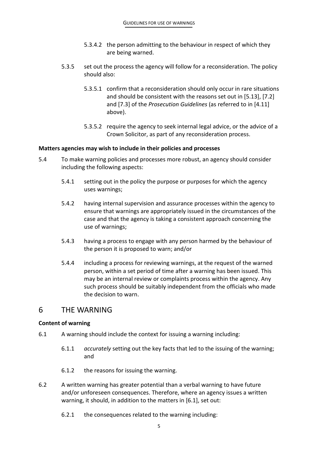- 5.3.4.2 the person admitting to the behaviour in respect of which they are being warned.
- 5.3.5 set out the process the agency will follow for a reconsideration. The policy should also:
	- 5.3.5.1 confirm that a reconsideration should only occur in rare situations and should be consistent with the reasons set out in [5.13], [7.2] and [7.3] of the *Prosecution Guidelines* (as referred to in [4.11] above).
	- 5.3.5.2 require the agency to seek internal legal advice, or the advice of a Crown Solicitor, as part of any reconsideration process.

#### <span id="page-6-0"></span>**Matters agencies may wish to include in their policies and processes**

- 5.4 To make warning policies and processes more robust, an agency should consider including the following aspects:
	- 5.4.1 setting out in the policy the purpose or purposes for which the agency uses warnings;
	- 5.4.2 having internal supervision and assurance processes within the agency to ensure that warnings are appropriately issued in the circumstances of the case and that the agency is taking a consistent approach concerning the use of warnings;
	- 5.4.3 having a process to engage with any person harmed by the behaviour of the person it is proposed to warn; and/or
	- 5.4.4 including a process for reviewing warnings, at the request of the warned person, within a set period of time after a warning has been issued. This may be an internal review or complaints process within the agency. Any such process should be suitably independent from the officials who made the decision to warn.

## <span id="page-6-1"></span>6 THE WARNING

#### <span id="page-6-2"></span>**Content of warning**

- 6.1 A warning should include the context for issuing a warning including:
	- 6.1.1 *accurately* setting out the key facts that led to the issuing of the warning; and
	- 6.1.2 the reasons for issuing the warning.
- 6.2 A written warning has greater potential than a verbal warning to have future and/or unforeseen consequences. Therefore, where an agency issues a written warning, it should, in addition to the matters in [6.1], set out:
	- 6.2.1 the consequences related to the warning including: